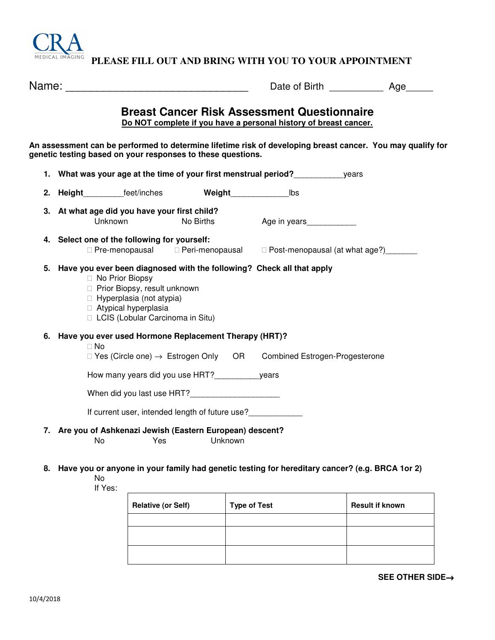

 **PLEASE FILL OUT AND BRING WITH YOU TO YOUR APPOINTMENT**

| Name: |                                                                                                                                                                                                                     |                                                     | Date of Birth Date of Birth                                                                                            | Age |  |  |  |  |  |
|-------|---------------------------------------------------------------------------------------------------------------------------------------------------------------------------------------------------------------------|-----------------------------------------------------|------------------------------------------------------------------------------------------------------------------------|-----|--|--|--|--|--|
|       |                                                                                                                                                                                                                     |                                                     | <b>Breast Cancer Risk Assessment Questionnaire</b><br>Do NOT complete if you have a personal history of breast cancer. |     |  |  |  |  |  |
|       | An assessment can be performed to determine lifetime risk of developing breast cancer. You may qualify for<br>genetic testing based on your responses to these questions.                                           |                                                     |                                                                                                                        |     |  |  |  |  |  |
|       | 1. What was your age at the time of your first menstrual period?<br>years                                                                                                                                           |                                                     |                                                                                                                        |     |  |  |  |  |  |
|       | 2. Height feet/inches                                                                                                                                                                                               | Weight                                              | lbs                                                                                                                    |     |  |  |  |  |  |
|       | 3. At what age did you have your first child?<br><b>Unknown</b>                                                                                                                                                     | No Births                                           | Age in years <b>Santa Contact Strutter</b>                                                                             |     |  |  |  |  |  |
|       | 4. Select one of the following for yourself:<br>Pre-menopausal                                                                                                                                                      |                                                     | Peri-menopausal Post-menopausal (at what age?)                                                                         |     |  |  |  |  |  |
|       | 5. Have you ever been diagnosed with the following? Check all that apply<br>No Prior Biopsy<br>Prior Biopsy, result unknown<br>Hyperplasia (not atypia)<br>Atypical hyperplasia<br>LCIS (Lobular Carcinoma in Situ) |                                                     |                                                                                                                        |     |  |  |  |  |  |
|       | 6. Have you ever used Hormone Replacement Therapy (HRT)?<br><b>No</b>                                                                                                                                               |                                                     |                                                                                                                        |     |  |  |  |  |  |
|       |                                                                                                                                                                                                                     | Yes (Circle one) $\rightarrow$ Estrogen Only OR     | <b>Combined Estrogen-Progesterone</b>                                                                                  |     |  |  |  |  |  |
|       |                                                                                                                                                                                                                     | How many years did you use HRT? _____________ years |                                                                                                                        |     |  |  |  |  |  |
|       | When did you last use HRT?__________________                                                                                                                                                                        |                                                     |                                                                                                                        |     |  |  |  |  |  |
|       |                                                                                                                                                                                                                     | If current user, intended length of future use?     |                                                                                                                        |     |  |  |  |  |  |
|       | 7. Are you of Ashkenazi Jewish (Eastern European) descent?<br>No<br>Yes                                                                                                                                             | Unknown                                             |                                                                                                                        |     |  |  |  |  |  |

## **8. Have you or anyone in your family had genetic testing for hereditary cancer? (e.g. BRCA 1or 2)**  No

If Yes:

| <b>Relative (or Self)</b> | <b>Type of Test</b> | <b>Result if known</b> |  |
|---------------------------|---------------------|------------------------|--|
|                           |                     |                        |  |
|                           |                     |                        |  |
|                           |                     |                        |  |

**SEE OTHER SIDE**→